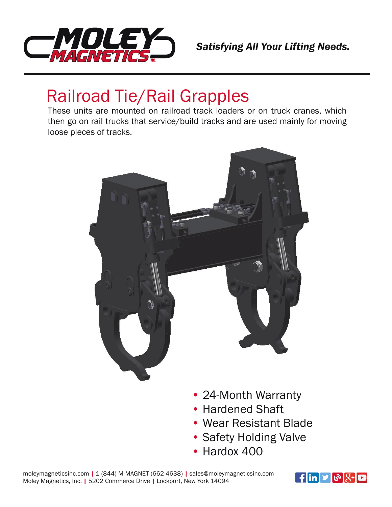

## Railroad Tie/Rail Grapples

These units are mounted on railroad track loaders or on truck cranes, which then go on rail trucks that service/build tracks and are used mainly for moving loose pieces of tracks.



- 24-Month Warranty
- Hardened Shaft
- Wear Resistant Blade
- Safety Holding Valve
- Hardox 400